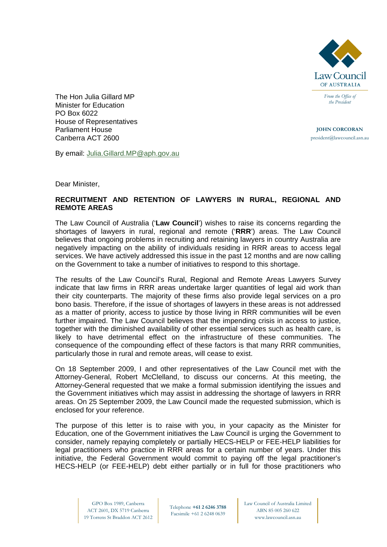

*From the Office of the President* 

**JOHN CORCORAN** president@lawcouncil.asn.au

The Hon Julia Gillard MP Minister for Education PO Box 6022 House of Representatives Parliament House Canberra ACT 2600

By email: [Julia.Gillard.MP@aph.gov.au](mailto:Julia.Gillard.MP@aph.gov.au)

Dear Minister,

## **RECRUITMENT AND RETENTION OF LAWYERS IN RURAL, REGIONAL AND REMOTE AREAS**

The Law Council of Australia ('**Law Council**') wishes to raise its concerns regarding the shortages of lawyers in rural, regional and remote ('**RRR**') areas. The Law Council believes that ongoing problems in recruiting and retaining lawyers in country Australia are negatively impacting on the ability of individuals residing in RRR areas to access legal services. We have actively addressed this issue in the past 12 months and are now calling on the Government to take a number of initiatives to respond to this shortage.

The results of the Law Council's Rural, Regional and Remote Areas Lawyers Survey indicate that law firms in RRR areas undertake larger quantities of legal aid work than their city counterparts. The majority of these firms also provide legal services on a pro bono basis. Therefore, if the issue of shortages of lawyers in these areas is not addressed as a matter of priority, access to justice by those living in RRR communities will be even further impaired. The Law Council believes that the impending crisis in access to justice, together with the diminished availability of other essential services such as health care, is likely to have detrimental effect on the infrastructure of these communities. The consequence of the compounding effect of these factors is that many RRR communities, particularly those in rural and remote areas, will cease to exist.

On 18 September 2009, I and other representatives of the Law Council met with the Attorney-General, Robert McClelland, to discuss our concerns. At this meeting, the Attorney-General requested that we make a formal submission identifying the issues and the Government initiatives which may assist in addressing the shortage of lawyers in RRR areas. On 25 September 2009, the Law Council made the requested submission, which is enclosed for your reference.

The purpose of this letter is to raise with you, in your capacity as the Minister for Education, one of the Government initiatives the Law Council is urging the Government to consider, namely repaying completely or partially HECS-HELP or FEE-HELP liabilities for legal practitioners who practice in RRR areas for a certain number of years. Under this initiative, the Federal Government would commit to paying off the legal practitioner's HECS-HELP (or FEE-HELP) debt either partially or in full for those practitioners who

Telephone **+61 2 6246 3788**  Facsimile +61 2 6248 0639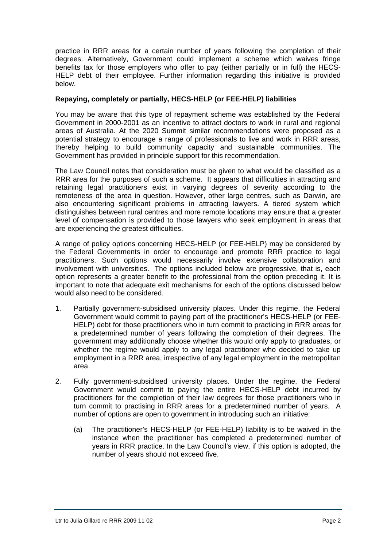practice in RRR areas for a certain number of years following the completion of their degrees. Alternatively, Government could implement a scheme which waives fringe benefits tax for those employers who offer to pay (either partially or in full) the HECS-HELP debt of their employee. Further information regarding this initiative is provided below.

## **Repaying, completely or partially, HECS-HELP (or FEE-HELP) liabilities**

You may be aware that this type of repayment scheme was established by the Federal Government in 2000-2001 as an incentive to attract doctors to work in rural and regional areas of Australia. At the 2020 Summit similar recommendations were proposed as a potential strategy to encourage a range of professionals to live and work in RRR areas, thereby helping to build community capacity and sustainable communities. The Government has provided in principle support for this recommendation.

The Law Council notes that consideration must be given to what would be classified as a RRR area for the purposes of such a scheme. It appears that difficulties in attracting and retaining legal practitioners exist in varying degrees of severity according to the remoteness of the area in question. However, other large centres, such as Darwin, are also encountering significant problems in attracting lawyers. A tiered system which distinguishes between rural centres and more remote locations may ensure that a greater level of compensation is provided to those lawyers who seek employment in areas that are experiencing the greatest difficulties.

A range of policy options concerning HECS-HELP (or FEE-HELP) may be considered by the Federal Governments in order to encourage and promote RRR practice to legal practitioners. Such options would necessarily involve extensive collaboration and involvement with universities. The options included below are progressive, that is, each option represents a greater benefit to the professional from the option preceding it. It is important to note that adequate exit mechanisms for each of the options discussed below would also need to be considered.

- 1. Partially government-subsidised university places. Under this regime, the Federal Government would commit to paying part of the practitioner's HECS-HELP (or FEE-HELP) debt for those practitioners who in turn commit to practicing in RRR areas for a predetermined number of years following the completion of their degrees. The government may additionally choose whether this would only apply to graduates, or whether the regime would apply to any legal practitioner who decided to take up employment in a RRR area, irrespective of any legal employment in the metropolitan area.
- 2. Fully government-subsidised university places. Under the regime, the Federal Government would commit to paying the entire HECS-HELP debt incurred by practitioners for the completion of their law degrees for those practitioners who in turn commit to practising in RRR areas for a predetermined number of years. A number of options are open to government in introducing such an initiative:
	- (a) The practitioner's HECS-HELP (or FEE-HELP) liability is to be waived in the instance when the practitioner has completed a predetermined number of years in RRR practice. In the Law Council's view, if this option is adopted, the number of years should not exceed five.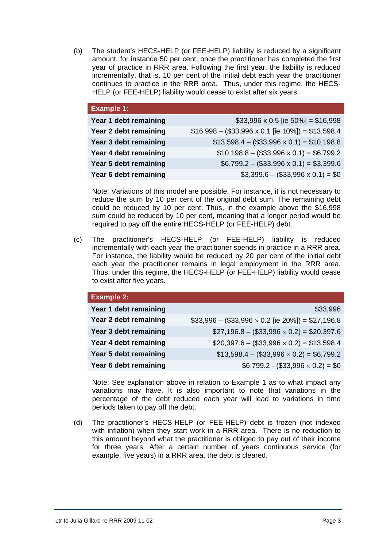(b) The student's HECS-HELP (or FEE-HELP) liability is reduced by a significant amount, for instance 50 per cent, once the practitioner has completed the first year of practice in RRR area. Following the first year, the liability is reduced incrementally, that is, 10 per cent of the initial debt each year the practitioner continues to practice in the RRR area. Thus, under this regime, the HECS-HELP (or FEE-HELP) liability would cease to exist after six years.

| <b>Example 1:</b>     |                                                            |
|-----------------------|------------------------------------------------------------|
| Year 1 debt remaining | $$33,996 \times 0.5$ [ie $50\%$ ] = \$16,998               |
| Year 2 debt remaining | $$16,998 - ($33,996 \times 0.1$ [ie $10\%$ ]) = \$13,598.4 |
| Year 3 debt remaining | $$13,598.4 - ($33,996 \times 0.1) = $10,198.8$             |
| Year 4 debt remaining | $$10,198.8 - ($33,996 \times 0.1) = $6,799.2$              |
| Year 5 debt remaining | $$6,799.2 - ($33,996 \times 0.1) = $3,399.6$               |
| Year 6 debt remaining | $$3,399.6 - ($33,996 \times 0.1) = $0$                     |
|                       |                                                            |

Note: Variations of this model are possible. For instance, it is not necessary to reduce the sum by 10 per cent of the original debt sum. The remaining debt could be reduced by 10 per cent. Thus, in the example above the \$16,998 sum could be reduced by 10 per cent, meaning that a longer period would be required to pay off the entire HECS-HELP (or FEE-HELP) debt.

(c) The practitioner's HECS-HELP (or FEE-HELP) liability is reduced incrementally with each year the practitioner spends in practice in a RRR area. For instance, the liability would be reduced by 20 per cent of the initial debt each year the practitioner remains in legal employment in the RRR area. Thus, under this regime, the HECS-HELP (or FEE-HELP) liability would cease to exist after five years.

| <b>Example 2:</b>     |                                                        |
|-----------------------|--------------------------------------------------------|
| Year 1 debt remaining | \$33,996                                               |
| Year 2 debt remaining | $$33,996 - ($33,996 \times 0.2$ [ie 20%]) = \$27,196.8 |
| Year 3 debt remaining | $$27,196.8 - ($33,996 \times 0.2) = $20,397.6$         |
| Year 4 debt remaining | $$20,397.6 - ($33,996 \times 0.2) = $13,598.4$         |
| Year 5 debt remaining | $$13,598.4 - ($33,996 \times 0.2) = $6,799.2$          |
| Year 6 debt remaining | $$6,799.2 \cdot ($33,996 \times 0.2) = $0$             |

Note: See explanation above in relation to Example 1 as to what impact any variations may have. It is also important to note that variations in the percentage of the debt reduced each year will lead to variations in time periods taken to pay off the debt.

(d) The practitioner's HECS-HELP (or FEE-HELP) debt is frozen (not indexed with inflation) when they start work in a RRR area. There is no reduction to this amount beyond what the practitioner is obliged to pay out of their income for three years. After a certain number of years continuous service (for example, five years) in a RRR area, the debt is cleared.